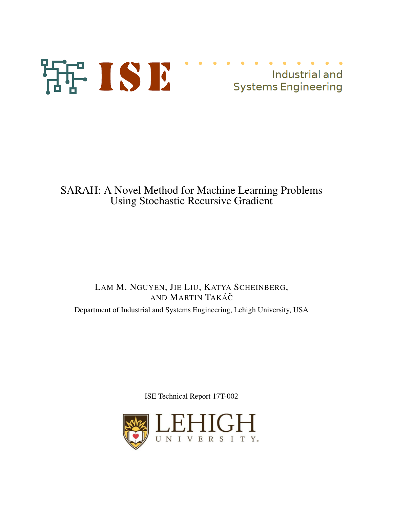

# SARAH: A Novel Method for Machine Learning Problems Using Stochastic Recursive Gradient

## LAM M. NGUYEN, JIE LIU, KATYA SCHEINBERG, AND MARTIN TAKÁČ Department of Industrial and Systems Engineering, Lehigh University, USA

ISE Technical Report 17T-002

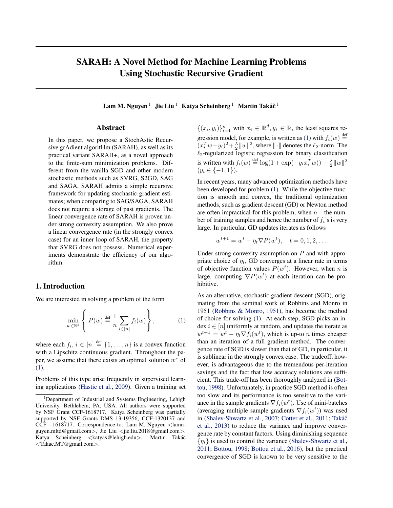## <span id="page-1-0"></span>SARAH: A Novel Method for Machine Learning Problems Using Stochastic Recursive Gradient

Lam M. Nguyen $^1~\,$ Jie Liu $^1~\,$  Katya Scheinberg $^1~\,$  Martin Takáč $^1~\,$ 

## Abstract

In this paper, we propose a StochAstic Recursive grAdient algoritHm (SARAH), as well as its practical variant SARAH+, as a novel approach to the finite-sum minimization problems. Different from the vanilla SGD and other modern stochastic methods such as SVRG, S2GD, SAG and SAGA, SARAH admits a simple recursive framework for updating stochastic gradient estimates; when comparing to SAG/SAGA, SARAH does not require a storage of past gradients. The linear convergence rate of SARAH is proven under strong convexity assumption. We also prove a linear convergence rate (in the strongly convex case) for an inner loop of SARAH, the property that SVRG does not possess. Numerical experiments demonstrate the efficiency of our algorithm.

#### 1. Introduction

We are interested in solving a problem of the form

$$
\min_{w \in \mathbb{R}^d} \left\{ P(w) \stackrel{\text{def}}{=} \frac{1}{n} \sum_{i \in [n]} f_i(w) \right\},\tag{1}
$$

where each  $f_i$ ,  $i \in [n] \stackrel{\text{def}}{=} \{1, \ldots, n\}$  is a convex function with a Lipschitz continuous gradient. Throughout the paper, we assume that there exists an optimal solution  $w^*$  of (1).

Problems of this type arise frequently in supervised learning applications [\(Hastie et al.,](#page-9-0) [2009\)](#page-9-0). Given a training set

 $\{(x_i, y_i)\}_{i=1}^n$  with  $x_i \in \mathbb{R}^d, y_i \in \mathbb{R}$ , the least squares regression model, for example, is written as (1) with  $f_i(w) \stackrel{\text{def}}{=}$  $(x_i^T w - y_i)^2 + \frac{\lambda}{2} ||w||^2$ , where  $|| \cdot ||$  denotes the  $\ell_2$ -norm. The  $\ell_2$ -regularized logistic regression for binary classification is written with  $f_i(w) \stackrel{\text{def}}{=} \log(1 + \exp(-y_i x_i^T w)) + \frac{\lambda}{2} ||w||^2$  $(y_i \in \{-1, 1\}).$ 

In recent years, many advanced optimization methods have been developed for problem (1). While the objective function is smooth and convex, the traditional optimization methods, such as gradient descent (GD) or Newton method are often impractical for this problem, when  $n -$  the number of training samples and hence the number of  $f_i$ 's is very large. In particular, GD updates iterates as follows

$$
w^{t+1} = w^t - \eta_t \nabla P(w^t), \quad t = 0, 1, 2, \dots.
$$

Under strong convexity assumption on  $P$  and with appropriate choice of  $\eta_t$ , GD converges at a linear rate in terms of objective function values  $P(w^t)$ . However, when n is large, computing  $\nabla P(w^t)$  at each iteration can be prohibitive.

As an alternative, stochastic gradient descent (SGD), originating from the seminal work of Robbins and Monro in 1951 [\(Robbins & Monro,](#page-9-0) [1951\)](#page-9-0), has become the method of choice for solving (1). At each step, SGD picks an index  $i \in [n]$  uniformly at random, and updates the iterate as  $w^{t+1} = w^t - \eta_t \nabla f_i(w^t)$ , which is up-to *n* times cheaper than an iteration of a full gradient method. The convergence rate of SGD is slower than that of GD, in particular, it is sublinear in the strongly convex case. The tradeoff, however, is advantageous due to the tremendous per-iteration savings and the fact that low accuracy solutions are sufficient. This trade-off has been thoroughly analyzed in [\(Bot](#page-9-0)[tou,](#page-9-0) [1998\)](#page-9-0). Unfortunately, in practice SGD method is often too slow and its performance is too sensitive to the variance in the sample gradients  $\nabla f_i(w^t)$ . Use of mini-batches (averaging multiple sample gradients  $\nabla f_i(w^t)$ ) was used in [\(Shalev-Shwartz et al.,](#page-9-0) [2007;](#page-9-0) [Cotter et al.,](#page-9-0) [2011;](#page-9-0) Takáč [et al.,](#page-9-0) [2013\)](#page-9-0) to reduce the variance and improve convergence rate by constant factors. Using diminishing sequence  $\{\eta_t\}$  is used to control the variance [\(Shalev-Shwartz et al.,](#page-9-0) [2011;](#page-9-0) [Bottou,](#page-9-0) [1998;](#page-9-0) [Bottou et al.,](#page-9-0) [2016\)](#page-9-0), but the practical convergence of SGD is known to be very sensitive to the

<sup>&</sup>lt;sup>1</sup>Department of Industrial and Systems Engineering, Lehigh University, Bethlehem, PA, USA. All authors were supported by NSF Grant CCF-1618717. Katya Scheinberg was partially supported by NSF Grants DMS 13-19356, CCF-1320137 and CCF - 1618717. Correspondence to: Lam M. Nguyen <lamnguyen.mltd@gmail.com>, Jie Liu <jie.liu.2018@gmail.com>, Katya Scheinberg <katyas@lehigh.edu>, Martin Takáč <Takac.MT@gmail.com>.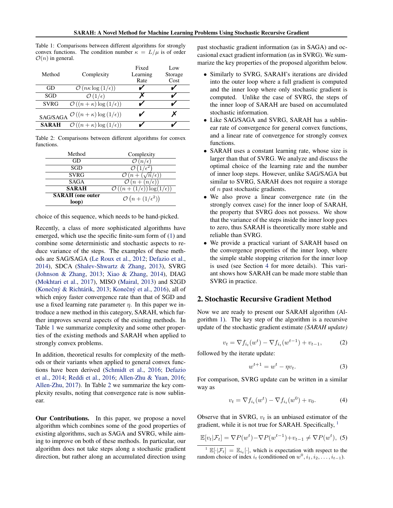<span id="page-2-0"></span>Table 1: Comparisons between different algorithms for strongly convex functions. The condition number  $\kappa = L/\mu$  is of order  $\mathcal{O}(n)$  in general.

|              |                                                                            | Fixed    | Low     |
|--------------|----------------------------------------------------------------------------|----------|---------|
| Method       | Complexity                                                                 | Learning | Storage |
|              |                                                                            | Rate     | Cost    |
| GD           | $\mathcal{O}(n\kappa\log{(1/\epsilon)})$                                   |          |         |
| SGD          | $\mathcal{O}(1/\epsilon)$                                                  |          |         |
| SVRG         | $\mathcal{O}((n+\kappa)\log{(1/\epsilon)})$                                |          |         |
|              | $\mathcal{O}\left(\left(n+\kappa\right)\log\left(1/\epsilon\right)\right)$ |          |         |
| SAG/SAGA     |                                                                            |          |         |
| <b>SARAH</b> | $\mathcal{O}((n+\kappa)\log{(1/\epsilon)})$                                |          |         |

Table 2: Comparisons between different algorithms for convex functions.

| Method                  | Complexity                                                 |
|-------------------------|------------------------------------------------------------|
| GD                      | $(n/\epsilon)$                                             |
| SGD                     |                                                            |
| <b>SVRG</b>             | $\mathcal{O}(n + (\sqrt{n}/\epsilon))$                     |
| <b>SAGA</b>             | $\mathcal{O}(n + (n/\epsilon))$                            |
| <b>SARAH</b>            | $\mathcal{O}\left((n+(1/\epsilon))\log(1/\epsilon)\right)$ |
| <b>SARAH</b> (one outer | $\mathcal{O}(n+(1/\epsilon^2))$                            |
| loop)                   |                                                            |

choice of this sequence, which needs to be hand-picked.

Recently, a class of more sophisticated algorithms have emerged, which use the specific finite-sum form of [\(1\)](#page-1-0) and combine some deterministic and stochastic aspects to reduce variance of the steps. The examples of these methods are SAG/SAGA [\(Le Roux et al.,](#page-9-0) [2012;](#page-9-0) [Defazio et al.,](#page-9-0) [2014\)](#page-9-0), SDCA [\(Shalev-Shwartz & Zhang,](#page-9-0) [2013\)](#page-9-0), SVRG [\(Johnson & Zhang,](#page-9-0) [2013;](#page-9-0) [Xiao & Zhang,](#page-9-0) [2014\)](#page-9-0), DIAG [\(Mokhtari et al.,](#page-9-0) [2017\)](#page-9-0), MISO [\(Mairal,](#page-9-0) [2013\)](#page-9-0) and S2GD (Konečný & Richtárik, [2013;](#page-9-0) Konečný et al., [2016\)](#page-9-0), all of which enjoy faster convergence rate than that of SGD and use a fixed learning rate parameter  $\eta$ . In this paper we introduce a new method in this category, SARAH, which further improves several aspects of the existing methods. In Table 1 we summarize complexity and some other properties of the existing methods and SARAH when applied to strongly convex problems.

In addition, theoretical results for complexity of the methods or their variants when applied to general convex functions have been derived [\(Schmidt et al.,](#page-9-0) [2016;](#page-9-0) [Defazio](#page-9-0) [et al.,](#page-9-0) [2014;](#page-9-0) [Reddi et al.,](#page-9-0) [2016;](#page-9-0) [Allen-Zhu & Yuan,](#page-9-0) [2016;](#page-9-0) [Allen-Zhu,](#page-9-0) [2017\)](#page-9-0). In Table 2 we summarize the key complexity results, noting that convergence rate is now sublinear.

**Our Contributions.** In this paper, we propose a novel algorithm which combines some of the good properties of existing algorithms, such as SAGA and SVRG, while aiming to improve on both of these methods. In particular, our algorithm does not take steps along a stochastic gradient direction, but rather along an accumulated direction using past stochastic gradient information (as in SAGA) and occasional exact gradient information (as in SVRG). We summarize the key properties of the proposed algorithm below.

- Similarly to SVRG, SARAH's iterations are divided into the outer loop where a full gradient is computed and the inner loop where only stochastic gradient is computed. Unlike the case of SVRG, the steps of the inner loop of SARAH are based on accumulated stochastic information.
- Like SAG/SAGA and SVRG, SARAH has a sublinear rate of convergence for general convex functions, and a linear rate of convergence for strongly convex functions.
- SARAH uses a constant learning rate, whose size is larger than that of SVRG. We analyze and discuss the optimal choice of the learning rate and the number of inner loop steps. However, unlike SAG/SAGA but similar to SVRG, SARAH does not require a storage of n past stochastic gradients.
- We also prove a linear convergence rate (in the strongly convex case) for the inner loop of SARAH, the property that SVRG does not possess. We show that the variance of the steps inside the inner loop goes to zero, thus SARAH is theoretically more stable and reliable than SVRG.
- We provide a practical variant of SARAH based on the convergence properties of the inner loop, where the simple stable stopping criterion for the inner loop is used (see Section [4](#page-7-0) for more details). This variant shows how SARAH can be made more stable than SVRG in practice.

#### 2. Stochastic Recursive Gradient Method

Now we are ready to present our SARAH algorithm (Algorithm [1\)](#page-3-0). The key step of the algorithm is a recursive update of the stochastic gradient estimate *(SARAH update)*

$$
v_t = \nabla f_{i_t}(w^t) - \nabla f_{i_t}(w^{t-1}) + v_{t-1},
$$
 (2)

followed by the iterate update:

$$
w^{t+1} = w^t - \eta v_t. \tag{3}
$$

For comparison, SVRG update can be written in a similar way as

$$
v_t = \nabla f_{i_t}(w^t) - \nabla f_{i_t}(w^0) + v_0.
$$
 (4)

Observe that in SVRG,  $v_t$  is an unbiased estimator of the gradient, while it is not true for SARAH. Specifically,  $<sup>1</sup>$ </sup>

$$
\mathbb{E}[v_t|\mathcal{F}_t] = \nabla P(w^t) - \nabla P(w^{t-1}) + v_{t-1} \neq \nabla P(w^t),
$$
 (5)

<sup>&</sup>lt;sup>1</sup>  $\mathbb{E}[\cdot|\mathcal{F}_t] = \mathbb{E}_{i_t}[\cdot]$ , which is expectation with respect to the random choice of index  $i_t$  (conditioned on  $w^0, i_1, i_2, \ldots, i_{t-1}$ ).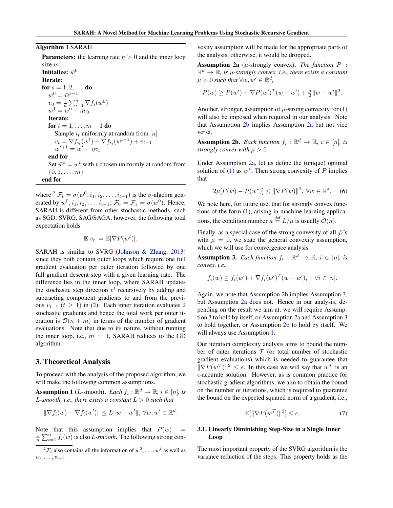<span id="page-3-0"></span>Algorithm 1 SARAH

**Parameters:** the learning rate  $\eta > 0$  and the inner loop size m.

Initialize:  $\tilde{w}^0$ Iterate: for  $s = 1, 2, ...$  do  $w^0 = \tilde{w}^{s-1}$  $v_0 = \frac{1}{n} \sum_{i=1}^n \nabla f_i(w^0)$  $w^1 = w^0 - \eta v_0$ Iterate: for  $t = 1, ..., m - 1$  do Sample  $i_t$  uniformly at random from  $[n]$  $v_t = \nabla f_{i_t}(w^t) - \nabla f_{i_t}(w^{t-1}) + v_{t-1}$  $w^{t+1} = w^t - \eta v_t$ end for Set  $\tilde{w}^s = w^t$  with t chosen uniformly at random from  $\{0, 1, \ldots, m\}$ 

end for

where  ${}^{2} \mathcal{F}_{t} = \sigma(w^{0}, i_{1}, i_{2}, \dots, i_{t-1})$  is the  $\sigma$ -algebra generated by  $w^0, i_1, i_2, \ldots, i_{t-1}$ ;  $\mathcal{F}_0 = \mathcal{F}_1 = \sigma(w^0)$ . Hence, SARAH is different from other stochastic methods, such as SGD, SVRG, SAG/SAGA, however, the following total expectation holds

$$
\mathbb{E}[v_t] = \mathbb{E}[\nabla P(w^t)].
$$

SARAH is similar to SVRG [\(Johnson & Zhang,](#page-9-0) [2013\)](#page-9-0) since they both contain outer loops which require one full gradient evaluation per outer iteration followed by one full gradient descent step with a given learning rate. The difference lies in the inner loop, where SARAH updates the stochastic step direction  $v<sup>t</sup>$  recursively by adding and subtracting component gradients to and from the previous  $v_{t-1}$  ( $t \ge 1$ ) in [\(2\)](#page-2-0). Each inner iteration evaluates 2 stochastic gradients and hence the total work per outer iteration is  $\mathcal{O}(n + m)$  in terms of the number of gradient evaluations. Note that due to its nature, without running the inner loop, i.e.,  $m = 1$ , SARAH reduces to the GD algorithm.

#### 3. Theoretical Analysis

To proceed with the analysis of the proposed algorithm, we will make the following common assumptions.

**Assumption 1** (*L*-smooth). *Each*  $f_i : \mathbb{R}^d \to \mathbb{R}$ ,  $i \in [n]$ , is  $L$ -smooth, i.e., there exists a constant  $L > 0$  such that

$$
\|\nabla f_i(w) - \nabla f_i(w')\| \le L\|w - w'\|, \ \forall w, w' \in \mathbb{R}^d.
$$

Note that this assumption implies that  $P(w)$  =  $\frac{1}{n} \sum_{i=1}^{n} f_i(w)$  is also *L*-smooth. The following strong con-

vexity assumption will be made for the appropriate parts of the analysis, otherwise, it would be dropped.

**Assumption 2a** ( $\mu$ -strongly convex). *The function*  $P$  :  $\mathbb{R}^d \to \mathbb{\overline{R}}$ , is  $\mu$ -strongly convex, i.e., there exists a constant  $\mu > 0$  such that  $\forall w, w' \in \mathbb{R}^d$ ,

$$
P(w) \ge P(w') + \nabla P(w')^{T} (w - w') + \frac{\mu}{2} ||w - w'||^{2}.
$$

Another, stronger, assumption of  $\mu$ -strong convexity for [\(1\)](#page-1-0) will also be imposed when required in our analysis. Note that Assumption 2b implies Assumption 2a but not vice versa.

**Assumption 2b.** *Each function*  $f_i : \mathbb{R}^d \to \mathbb{R}$ ,  $i \in [n]$ , *is strongly convex with*  $\mu > 0$ *.* 

Under Assumption 2a, let us define the (unique) optimal solution of [\(1\)](#page-1-0) as  $w^*$ , Then strong convexity of P implies that

$$
2\mu[P(w) - P(w^*)] \le ||\nabla P(w)||^2, \,\forall w \in \mathbb{R}^d. \tag{6}
$$

We note here, for future use, that for strongly convex functions of the form [\(1\)](#page-1-0), arising in machine learning applications, the condition number  $\kappa \stackrel{\text{def}}{=} L/\mu$  is usually  $\mathcal{O}(n)$ .

Finally, as a special case of the strong convexity of all  $f_i$ 's with  $\mu = 0$ , we state the general convexity assumption, which we will use for convergence analysis.

**Assumption 3.** *Each function*  $f_i$  :  $\mathbb{R}^d \to \mathbb{R}$ ,  $i \in [n]$ , *is convex, i.e.,*

$$
f_i(w) \ge f_i(w') + \nabla f_i(w')^T (w - w'), \quad \forall i \in [n].
$$

Again, we note that Assumption 2b implies Assumption 3, but Assumption 2a does not. Hence in our analysis, depending on the result we aim at, we will require Assumption 3 to hold by itself, or Assumption 2a and Assumption 3 to hold together, or Assumption 2b to hold by itself. We will always use Assumption 1.

Our iteration complexity analysis aims to bound the number of outer iterations  $T$  (or total number of stochastic gradient evaluations) which is needed to guarantee that  $\|\nabla P(w^{\mathcal{T}})\|^2 \leq \epsilon$ . In this case we will say that  $w^{\mathcal{T}}$  is an  $\epsilon$ -accurate solution. However, as is common practice for stochastic gradient algorithms, we aim to obtain the bound on the number of iterations, which is required to guarantee the bound on the expected squared norm of a gradient, i.e.,

$$
\mathbb{E}[\|\nabla P(w^{\mathcal{T}})\|^2] \le \epsilon. \tag{7}
$$

## 3.1. Linearly Diminishing Step-Size in a Single Inner Loop

The most important property of the SVRG algorithm is the variance reduction of the steps. This property holds as the

 ${}^2\mathcal{F}_t$  also contains all the information of  $w^0, \ldots, w^t$  as well as  $v_0, \ldots, v_{t-1}.$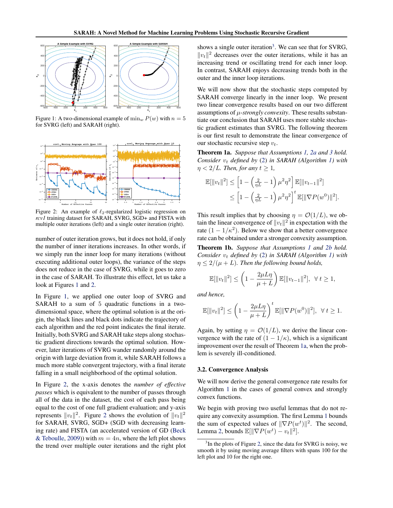<span id="page-4-0"></span>

Figure 1: A two-dimensional example of  $\min_w P(w)$  with  $n = 5$ for SVRG (left) and SARAH (right).



Figure 2: An example of  $\ell_2$ -regularized logistic regression on *rcv1* training dataset for SARAH, SVRG, SGD+ and FISTA with multiple outer iterations (left) and a single outer iteration (right).

number of outer iteration grows, but it does not hold, if only the number of inner iterations increases. In other words, if we simply run the inner loop for many iterations (without executing additional outer loops), the variance of the steps does not reduce in the case of SVRG, while it goes to zero in the case of SARAH. To illustrate this effect, let us take a look at Figures 1 and 2.

In Figure 1, we applied one outer loop of SVRG and SARAH to a sum of 5 quadratic functions in a twodimensional space, where the optimal solution is at the origin, the black lines and black dots indicate the trajectory of each algorithm and the red point indicates the final iterate. Initially, both SVRG and SARAH take steps along stochastic gradient directions towards the optimal solution. However, later iterations of SVRG wander randomly around the origin with large deviation from it, while SARAH follows a much more stable convergent trajectory, with a final iterate falling in a small neighborhood of the optimal solution.

In Figure 2, the x-axis denotes the *number of effective passes* which is equivalent to the number of passes through all of the data in the dataset, the cost of each pass being equal to the cost of one full gradient evaluation; and y-axis represents  $||v_t||^2$ . Figure 2 shows the evolution of  $||v_t||^2$ for SARAH, SVRG, SGD+ (SGD with decreasing learning rate) and FISTA (an accelerated version of GD [\(Beck](#page-9-0) [& Teboulle,](#page-9-0) [2009\)](#page-9-0)) with  $m = 4n$ , where the left plot shows the trend over multiple outer iterations and the right plot

shows a single outer iteration<sup>3</sup>. We can see that for SVRG,  $||v_t||^2$  decreases over the outer iterations, while it has an increasing trend or oscillating trend for each inner loop. In contrast, SARAH enjoys decreasing trends both in the outer and the inner loop iterations.

We will now show that the stochastic steps computed by SARAH converge linearly in the inner loop. We present two linear convergence results based on our two different assumptions of  $\mu$ -strongly convexity. These results substantiate our conclusion that SARAH uses more stable stochastic gradient estimates than SVRG. The following theorem is our first result to demonstrate the linear convergence of our stochastic recursive step  $v_t$ .

Theorem 1a. *Suppose that Assumptions [1,](#page-3-0) [2a](#page-3-0) and [3](#page-3-0) hold. Consider*  $v_t$  *defined by* [\(2\)](#page-2-0) *in SARAH* (*Algorithm 1*) *with*  $\eta$  < 2/*L. Then, for any*  $t \geq 1$ *,* 

$$
\mathbb{E}[\|v_t\|^2] \le \left[1 - \left(\frac{2}{\eta L} - 1\right) \mu^2 \eta^2\right] \mathbb{E}[\|v_{t-1}\|^2] \n\le \left[1 - \left(\frac{2}{\eta L} - 1\right) \mu^2 \eta^2\right]^t \mathbb{E}[\|\nabla P(w^0)\|^2].
$$

This result implies that by choosing  $\eta = \mathcal{O}(1/L)$ , we obtain the linear convergence of  $||v_t||^2$  in expectation with the rate  $(1 - 1/\kappa^2)$ . Below we show that a better convergence rate can be obtained under a stronger convexity assumption.

Theorem 1b. *Suppose that Assumptions [1](#page-3-0) and [2b](#page-3-0) hold. Consider*  $v_t$  *defined by* [\(2\)](#page-2-0) *in SARAH* (*Algorithm 1*) *with*  $\eta \leq 2/(\mu + L)$ . Then the following bound holds,

$$
\mathbb{E}[\|v_t\|^2] \le \left(1 - \frac{2\mu L\eta}{\mu + L}\right) \mathbb{E}[\|v_{t-1}\|^2], \ \forall \, t \ge 1,
$$

*and hence,*

$$
\mathbb{E}[\Vert v_t \Vert^2] \le \left(1 - \frac{2\mu L\eta}{\mu + L}\right)^t \mathbb{E}[\Vert \nabla P(w^0) \Vert^2], \ \ \forall \ t \ge 1.
$$

Again, by setting  $\eta = \mathcal{O}(1/L)$ , we derive the linear convergence with the rate of  $(1 - 1/\kappa)$ , which is a significant improvement over the result of Theorem 1a, when the problem is severely ill-conditioned.

#### 3.2. Convergence Analysis

We will now derive the general convergence rate results for Algorithm [1](#page-3-0) in the cases of general convex and strongly convex functions.

We begin with proving two useful lemmas that do not require any convexity assumption. The first Lemma [1](#page-5-0) bounds the sum of expected values of  $\|\nabla P(w^t)\|^2$ . The second, Lemma [2,](#page-5-0) bounds  $\mathbb{E}[\|\nabla P(w^t) - v_t\|^2].$ 

<sup>&</sup>lt;sup>3</sup>In the plots of Figure 2, since the data for SVRG is noisy, we smooth it by using moving average filters with spans 100 for the left plot and 10 for the right one.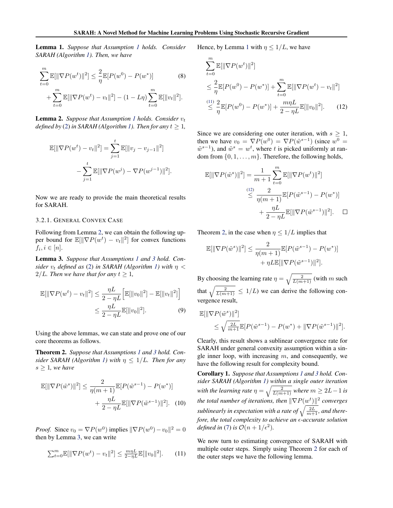<span id="page-5-0"></span>Lemma 1. *Suppose that Assumption [1](#page-3-0) holds. Consider SARAH (Algorithm [1\)](#page-3-0). Then, we have*

$$
\sum_{t=0}^{m} \mathbb{E}[\|\nabla P(w^t)\|^2] \leq \frac{2}{\eta} \mathbb{E}[P(w^0) - P(w^*)] \tag{8}
$$

$$
+ \sum_{t=0}^{m} \mathbb{E}[\|\nabla P(w^t) - v_t\|^2] - (1 - L\eta) \sum_{t=0}^{m} \mathbb{E}[\|v_t\|^2].
$$

**Lemma 2.** *Suppose that Assumption [1](#page-3-0) holds. Consider*  $v_t$ *defined by* [\(2\)](#page-2-0) *in SARAH* (*Algorithm 1*)*. Then for any*  $t \geq 1$ *,* 

$$
\mathbb{E}[\|\nabla P(w^t) - v_t\|^2] = \sum_{j=1}^t \mathbb{E}[\|v_j - v_{j-1}\|^2]
$$

$$
-\sum_{j=1}^t \mathbb{E}[\|\nabla P(w^j) - \nabla P(w^{j-1})\|^2].
$$

Now we are ready to provide the main theoretical results for SARAH.

#### 3.2.1. GENERAL CONVEX CASE

Following from Lemma 2, we can obtain the following upper bound for  $\mathbb{E}[\|\nabla P(w^t) - v_t\|^2]$  for convex functions  $f_i, i \in [n]$ .

Lemma 3. *Suppose that Assumptions [1](#page-3-0) and [3](#page-3-0) hold. Consider*  $v_t$  *defined as* [\(2\)](#page-2-0) *in SARAH (Algorithm [1\)](#page-3-0)* with  $\eta$  < 2/*L.* Then we have that for any  $t \geq 1$ ,

$$
\mathbb{E}[\|\nabla P(w^t) - v_t\|^2] \le \frac{\eta L}{2 - \eta L} \Big[\mathbb{E}[\|v_0\|^2] - \mathbb{E}[\|v_t\|^2]\Big] \le \frac{\eta L}{2 - \eta L} \mathbb{E}[\|v_0\|^2].
$$
\n(9)

Using the above lemmas, we can state and prove one of our core theorems as follows.

Theorem 2. *Suppose that Assumptions [1](#page-3-0) and [3](#page-3-0) hold. Con-sider SARAH (Algorithm [1\)](#page-3-0)* with  $\eta \leq 1/L$ *. Then for any*  $s \geq 1$ *, we have* 

$$
\mathbb{E}[\|\nabla P(\tilde{w}^s)\|^2] \le \frac{2}{\eta(m+1)} \mathbb{E}[P(\tilde{w}^{s-1}) - P(w^*)] + \frac{\eta L}{2 - \eta L} \mathbb{E}[\|\nabla P(\tilde{w}^{s-1})\|^2].
$$
 (10)

*Proof.* Since  $v_0 = \nabla P(w^0)$  implies  $\|\nabla P(w^0) - v_0\|^2 = 0$ then by Lemma 3, we can write

$$
\sum_{t=0}^{m} \mathbb{E}[\|\nabla P(w^t) - v_t\|^2] \le \frac{m\eta L}{2 - \eta L} \mathbb{E}[\|v_0\|^2].
$$
 (11)

Hence, by Lemma 1 with  $\eta \leq 1/L$ , we have

$$
\sum_{t=0}^{m} \mathbb{E}[\|\nabla P(w^t)\|^2]
$$
\n
$$
\leq \frac{2}{\eta} \mathbb{E}[P(w^0) - P(w^*)] + \sum_{t=0}^{m} \mathbb{E}[\|\nabla P(w^t) - v_t\|^2]
$$
\n
$$
\leq \frac{2}{\eta} \mathbb{E}[P(w^0) - P(w^*)] + \frac{m\eta L}{2 - \eta L} \mathbb{E}[\|v_0\|^2].
$$
\n(12)

Since we are considering one outer iteration, with  $s \geq 1$ , then we have  $v_0 = \nabla P(w^0) = \nabla P(\tilde{w}^{s-1})$  (since  $w^0 =$  $\tilde{w}^{s-1}$ ), and  $\tilde{w}^s = w^t$ , where t is picked uniformly at random from  $\{0, 1, \ldots, m\}$ . Therefore, the following holds,

$$
\mathbb{E}[\|\nabla P(\tilde{w}^s)\|^2] = \frac{1}{m+1} \sum_{t=0}^m \mathbb{E}[\|\nabla P(w^t)\|^2]
$$
  

$$
\leq \frac{2}{\eta(m+1)} \mathbb{E}[P(\tilde{w}^{s-1}) - P(w^*)]
$$
  

$$
+ \frac{\eta L}{2 - \eta L} \mathbb{E}[\|\nabla P(\tilde{w}^{s-1})\|^2]. \quad \Box
$$

Theorem [2,](#page-4-0) in the case when  $\eta \leq 1/L$  implies that

$$
\mathbb{E}[\|\nabla P(\tilde{w}^s)\|^2] \le \frac{2}{\eta(m+1)} \mathbb{E}[P(\tilde{w}^{s-1}) - P(w^*)] + \eta L \mathbb{E}[\|\nabla P(\tilde{w}^{s-1})\|^2].
$$

By choosing the learning rate  $\eta = \sqrt{\frac{2}{L(m+1)}}$  (with m such that  $\sqrt{\frac{2}{L(m+1)}} \leq 1/L$ ) we can derive the following convergence result,

$$
\mathbb{E}[\|\nabla P(\tilde{w}^s)\|^2] \leq \sqrt{\frac{2L}{m+1}} \mathbb{E}[P(\tilde{w}^{s-1}) - P(w^*) + \|\nabla P(\tilde{w}^{s-1})\|^2].
$$

Clearly, this result shows a sublinear convergence rate for SARAH under general convexity assumption within a single inner loop, with increasing  $m$ , and consequently, we have the following result for complexity bound.

Corollary 1. *Suppose that Assumptions [1](#page-3-0) and [3](#page-3-0) hold. Consider SARAH (Algorithm [1\)](#page-3-0) within a single outer iteration* with the learning rate  $\eta = \sqrt{\frac{2}{L(m+1)}}$  where  $m \geq 2L-1$  is *the total number of iterations, then*  $\|\nabla P(w^t)\|^2$  converges sublinearly in expectation with a rate of  $\sqrt{\frac{2L}{m+1}}$ , and there*fore, the total complexity to achieve an -accurate solution defined in* [\(7\)](#page-3-0) *is*  $\mathcal{O}(n+1/\epsilon^2)$ *.* 

We now turn to estimating convergence of SARAH with multiple outer steps. Simply using Theorem [2](#page-4-0) for each of the outer steps we have the following lemma.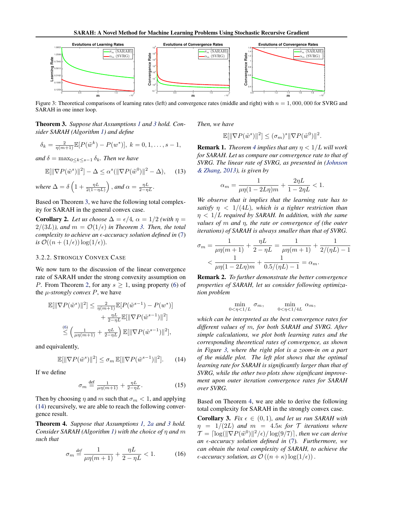<span id="page-6-0"></span>

Figure 3: Theoretical comparisons of learning rates (left) and convergence rates (middle and right) with  $n = 1,000,000$  for SVRG and SARAH in one inner loop.

Theorem 3. *Suppose that Assumptions [1](#page-3-0) and [3](#page-3-0) hold. Consider SARAH (Algorithm [1\)](#page-3-0) and define*

$$
\delta_k = \frac{2}{\eta(m+1)} \mathbb{E}[P(\tilde{w}^k) - P(w^*)], \ k = 0, 1, \dots, s-1,
$$

*and*  $\delta = \max_{0 \leq k \leq s-1} \delta_k$ *. Then we have* 

$$
\mathbb{E}[\|\nabla P(\tilde{w}^s)\|^2] - \Delta \le \alpha^s (\|\nabla P(\tilde{w}^0)\|^2 - \Delta), \quad (13)
$$

where 
$$
\Delta = \delta \left( 1 + \frac{\eta L}{2(1 - \eta L)} \right)
$$
, and  $\alpha = \frac{\eta L}{2 - \eta L}$ .

Based on Theorem 3, we have the following total complexity for SARAH in the general convex case.

**Corollary 2.** Let us choose  $\Delta = \epsilon/4$ ,  $\alpha = 1/2$  *(with*  $\eta =$  $2/(3L)$ *), and*  $m = \mathcal{O}(1/\epsilon)$  *in Theorem 3. Then, the total complexity to achieve an -accuracy solution defined in* [\(7\)](#page-3-0) *is*  $\mathcal{O}((n + (1/\epsilon)) \log(1/\epsilon))$ .

## 3.2.2. STRONGLY CONVEX CASE

We now turn to the discussion of the linear convergence rate of SARAH under the strong convexity assumption on *P*. From Theorem [2,](#page-4-0) for any  $s \geq 1$ , using property [\(6\)](#page-3-0) of the  $\mu$ -*strongly convex P*, we have

$$
\mathbb{E}[\|\nabla P(\tilde{w}^s)\|^2] \le \frac{2}{\eta(m+1)} \mathbb{E}[P(\tilde{w}^{s-1}) - P(w^*)] \n+ \frac{\eta L}{2 - \eta L} \mathbb{E}[\|\nabla P(\tilde{w}^{s-1})\|^2] \n\le \left(\frac{1}{\mu \eta(m+1)} + \frac{\eta L}{2 - \eta L}\right) \mathbb{E}[\|\nabla P(\tilde{w}^{s-1})\|^2],
$$

and equivalently,

$$
\mathbb{E}[\|\nabla P(\tilde{w}^s)\|^2] \le \sigma_m \mathbb{E}[\|\nabla P(\tilde{w}^{s-1})\|^2].\tag{14}
$$

If we define

$$
\sigma_m \stackrel{\text{def}}{=} \frac{1}{\mu \eta(m+1)} + \frac{\eta L}{2 - \eta L}.
$$
 (15)

Then by choosing  $\eta$  and m such that  $\sigma_m < 1$ , and applying (14) recursively, we are able to reach the following convergence result.

Theorem 4. *Suppose that Assumptions [1,](#page-3-0) [2a](#page-3-0) and [3](#page-3-0) hold. Consider SARAH (Algorithm [1\)](#page-3-0) with the choice of* η *and* m *such that*

$$
\sigma_m \stackrel{\text{def}}{=} \frac{1}{\mu \eta (m+1)} + \frac{\eta L}{2 - \eta L} < 1. \tag{16}
$$

*Then, we have*

$$
\mathbb{E}[\|\nabla P(\tilde{w}^s)\|^2] \leq (\sigma_m)^s \|\nabla P(\tilde{w}^0)\|^2.
$$

**Remark 1.** *Theorem 4 implies that any*  $\eta$  <  $1/L$  *will work for SARAH. Let us compare our convergence rate to that of SVRG. The linear rate of SVRG, as presented in [\(Johnson](#page-9-0) [& Zhang,](#page-9-0) [2013\)](#page-9-0), is given by*

$$
\alpha_m = \frac{1}{\mu \eta (1 - 2L\eta)m} + \frac{2\eta L}{1 - 2\eta L} < 1.
$$

*We observe that it implies that the learning rate has to satisfy*  $\eta$  < 1/(4L), which is a tighter restriction than η < 1/L *required by SARAH. In addition, with the same values of* m *and* η*, the rate or convergence of (the outer iterations) of SARAH is always smaller than that of SVRG.*

$$
\sigma_m = \frac{1}{\mu\eta(m+1)} + \frac{\eta L}{2 - \eta L} = \frac{1}{\mu\eta(m+1)} + \frac{1}{2/(\eta L) - 1}
$$
  
< 
$$
< \frac{1}{\mu\eta(1 - 2L\eta)m} + \frac{1}{0.5/(\eta L) - 1} = \alpha_m.
$$

Remark 2. *To further demonstrate the better convergence properties of SARAH, let us consider following optimization problem*

$$
\min_{0<\eta<1/L} \sigma_m, \qquad \min_{0<\eta<1/4L} \alpha_m,
$$

*which can be interpreted as the best convergence rates for different values of* m*, for both SARAH and SVRG. After simple calculations, we plot both learning rates and the corresponding theoretical rates of convergence, as shown in Figure 3, where the right plot is a zoom-in on a part of the middle plot. The left plot shows that the optimal learning rate for SARAH is significantly larger than that of SVRG, while the other two plots show significant improvement upon outer iteration convergence rates for SARAH over SVRG.*

Based on Theorem 4, we are able to derive the following total complexity for SARAH in the strongly convex case.

**Corollary 3.** *Fix*  $\epsilon \in (0,1)$ *, and let us run SARAH with*  $\eta = 1/(2L)$  *and*  $m = 4.5\kappa$  *for*  $\mathcal{T}$  *iterations where*  $\mathcal{T} = \left[ \log(\|\nabla P(\tilde{w}^0)\|^2/\epsilon) / \log(9/7) \right]$ , then we can derive *an -accuracy solution defined in* [\(7\)](#page-3-0)*. Furthermore, we can obtain the total complexity of SARAH, to achieve the*  $\epsilon$ -*accuracy solution, as*  $\mathcal{O}((n + \kappa) \log(1/\epsilon))$ .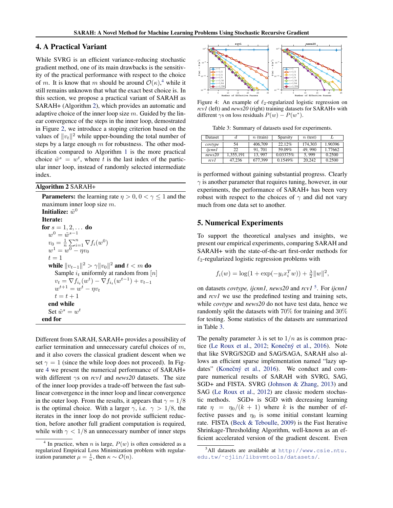## <span id="page-7-0"></span>4. A Practical Variant

While SVRG is an efficient variance-reducing stochastic gradient method, one of its main drawbacks is the sensitivity of the practical performance with respect to the choice of m. It is know that m should be around  $\mathcal{O}(\kappa)$ ,<sup>4</sup> while it still remains unknown that what the exact best choice is. In this section, we propose a practical variant of SARAH as SARAH+ (Algorithm 2), which provides an automatic and adaptive choice of the inner loop size  $m$ . Guided by the linear convergence of the steps in the inner loop, demostrated in Figure [2,](#page-4-0) we introduce a stoping criterion based on the values of  $||v_t||^2$  while upper-bounding the total number of steps by a large enough  $m$  for robustness. The other modification compared to Algorithm [1](#page-3-0) is the more practical choice  $\tilde{w}^s = w^t$ , where t is the last index of the particular inner loop, instead of randomly selected intermediate index.

#### Algorithm 2 SARAH+

**Parameters:** the learning rate  $\eta > 0$ ,  $0 < \gamma \leq 1$  and the maximum inner loop size  $m$ . Initialize:  $\tilde{w}^0$ Iterate: for  $s = 1, 2, ...$  do  $w^0 = \tilde{w}^{s-1}$  $v_0 = \frac{1}{n} \sum_{i=1}^n \nabla f_i(w^0)$  $w^1 = w^0 - \eta v_0$  $t = 1$ while  $\|v_{t-1}\|^2 > \gamma \|v_0\|^2$  and  $t < m$  do Sample  $i_t$  uniformly at random from [n]  $v_t = \nabla f_{i_t}(w^t) - \nabla f_{i_t}(w^{t-1}) + v_{t-1}$  $w^{t+1} = w^t - \eta v_t$  $t = t + 1$ end while Set  $\tilde{w}^s = w^t$ end for

Different from SARAH, SARAH+ provides a possibility of earlier termination and unnecessary careful choices of  $m$ , and it also covers the classical gradient descent when we set  $\gamma = 1$  (since the while loop does not proceed). In Figure 4 we present the numerical performance of SARAH+ with different γs on *rcv1* and *news20* datasets. The size of the inner loop provides a trade-off between the fast sublinear convergence in the inner loop and linear convergence in the outer loop. From the results, it appears that  $\gamma = 1/8$ is the optimal choice. With a larger  $\gamma$ , i.e.  $\gamma > 1/8$ , the iterates in the inner loop do not provide sufficient reduction, before another full gradient computation is required, while with  $\gamma < 1/8$  an unnecessary number of inner steps



Figure 4: An example of  $\ell_2$ -regularized logistic regression on *rcv1* (left) and *news20* (right) training datasets for SARAH+ with different  $\gamma$ s on loss residuals  $P(w) - P(w^*)$ .

Table 3: Summary of datasets used for experiments.

| Dataset |           | $n$ (train) | Sparsity | $n$ (test) |         |
|---------|-----------|-------------|----------|------------|---------|
| covtype | 54        | 406,709     | 22.12%   | 174.303    | 1.90396 |
| ijcnn1  | 22        | 91.701      | 59.09%   | 49.990     | 1.77662 |
| news20  | 1,355,191 | 13.997      | 0.03375% | 5.999      | 0.2500  |
| rcv1    | 47.236    | 677.399     | 0.1549%  | 20,242     | 0.2500  |

is performed without gaining substantial progress. Clearly  $\gamma$  is another parameter that requires tuning, however, in our experiments, the performance of SARAH+ has been very robust with respect to the choices of  $\gamma$  and did not vary much from one data set to another.

#### 5. Numerical Experiments

To support the theoretical analyses and insights, we present our empirical experiments, comparing SARAH and SARAH+ with the state-of-the-art first-order methods for  $\ell_2$ -regularized logistic regression problems with

$$
f_i(w) = \log(1 + \exp(-y_i x_i^T w)) + \frac{\lambda}{2} ||w||^2,
$$

on datasets *covtype, ijcnn1, news20* and *rcv1* <sup>5</sup> . For *ijcnn1* and *rcv1* we use the predefined testing and training sets, while *covtype* and *news20* do not have test data, hence we randomly split the datasets with 70% for training and 30% for testing. Some statistics of the datasets are summarized in Table 3.

The penalty parameter  $\lambda$  is set to  $1/n$  as is common prac-tice [\(Le Roux et al.,](#page-9-0) [2012;](#page-9-0) Konečný et al., [2016\)](#page-9-0). Note that like SVRG/S2GD and SAG/SAGA, SARAH also allows an efficient sparse implementation named "lazy up-dates" (Konečný et al., [2016\)](#page-9-0). We conduct and compare numerical results of SARAH with SVRG, SAG, SGD+ and FISTA. SVRG [\(Johnson & Zhang,](#page-9-0) [2013\)](#page-9-0) and SAG [\(Le Roux et al.,](#page-9-0) [2012\)](#page-9-0) are classic modern stochastic methods. SGD+ is SGD with decreasing learning rate  $\eta = \eta_0/(k+1)$  where k is the number of effective passes and  $\eta_0$  is some initial constant learning rate. FISTA [\(Beck & Teboulle,](#page-9-0) [2009\)](#page-9-0) is the Fast Iterative Shrinkage-Thresholding Algorithm, well-known as an efficient accelerated version of the gradient descent. Even

<sup>4</sup> In practice, when *n* is large,  $P(w)$  is often considered as a regularized Empirical Loss Minimization problem with regularization parameter  $\mu = \frac{1}{n}$ , then  $\kappa \sim \mathcal{O}(n)$ .

<sup>5</sup>All datasets are available at [http://www.csie.ntu.](http://www.csie.ntu.edu.tw/~cjlin/libsvmtools/datasets/) [edu.tw/˜cjlin/libsvmtools/datasets/](http://www.csie.ntu.edu.tw/~cjlin/libsvmtools/datasets/).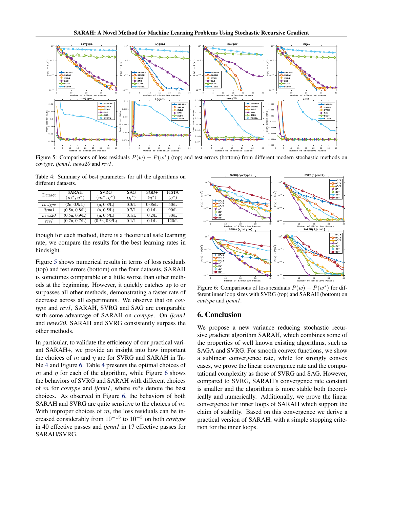

Figure 5: Comparisons of loss residuals  $P(w) - P(w^*)$  (top) and test errors (bottom) from different modern stochastic methods on *covtype, ijcnn1, news20* and *rcv1*.

Table 4: Summary of best parameters for all the algorithms on different datasets.

| Dataset | <b>SARAH</b><br>$(m^*, \eta^*)$ | <b>SVRG</b><br>$(m^*, \eta^*)$ | SAG<br>$(\eta^*)$ | $SGD+$<br>$(\eta^*)$ | <b>FISTA</b><br>$(\eta^*)$ |
|---------|---------------------------------|--------------------------------|-------------------|----------------------|----------------------------|
| covtype | (2n, 0.9/L)                     | (n, 0.8/L)                     | 0.3/L             | 0.06/L               | 50/L                       |
| ijcnn1  | (0.5n, 0.8/L)                   | (n, 0.5/L)                     | 0.7/L             | 0.1/L                | 90/L                       |
| news20  | (0.5n, 0.9/L)                   | (n, 0.5/L)                     | 0.1/L             | 0.2/L                | 30/L                       |
| rcv1    | (0.7n, 0.7/L)                   | (0.5n, 0.9/L)                  | 0.1/L             | 0.1/L                | 120/L                      |

though for each method, there is a theoretical safe learning rate, we compare the results for the best learning rates in hindsight.

Figure 5 shows numerical results in terms of loss residuals (top) and test errors (bottom) on the four datasets, SARAH is sometimes comparable or a little worse than other methods at the beginning. However, it quickly catches up to or surpasses all other methods, demonstrating a faster rate of decrease across all experiments. We observe that on *covtype* and *rcv1*, SARAH, SVRG and SAG are comparable with some advantage of SARAH on *covtype*. On *ijcnn1* and *news20*, SARAH and SVRG consistently surpass the other methods.

In particular, to validate the efficiency of our practical variant SARAH+, we provide an insight into how important the choices of m and  $\eta$  are for SVRG and SARAH in Table 4 and Figure 6. Table 4 presents the optimal choices of m and  $\eta$  for each of the algorithm, while Figure 6 shows the behaviors of SVRG and SARAH with different choices of m for *covtype* and *ijcnn1*, where m<sup>∗</sup> s denote the best choices. As observed in Figure 6, the behaviors of both SARAH and SVRG are quite sensitive to the choices of m. With improper choices of  $m$ , the loss residuals can be increased considerably from 10<sup>−</sup><sup>15</sup> to 10<sup>−</sup><sup>3</sup> on both *covtype* in 40 effective passes and *ijcnn1* in 17 effective passes for SARAH/SVRG.



Figure 6: Comparisons of loss residuals  $P(w) - P(w^*)$  for different inner loop sizes with SVRG (top) and SARAH (bottom) on *covtype* and *ijcnn1*.

## 6. Conclusion

We propose a new variance reducing stochastic recursive gradient algorithm SARAH, which combines some of the properties of well known existing algorithms, such as SAGA and SVRG. For smooth convex functions, we show a sublinear convergence rate, while for strongly convex cases, we prove the linear convergence rate and the computational complexity as those of SVRG and SAG. However, compared to SVRG, SARAH's convergence rate constant is smaller and the algorithms is more stable both theoretically and numerically. Additionally, we prove the linear convergence for inner loops of SARAH which support the claim of stability. Based on this convergence we derive a practical version of SARAH, with a simple stopping criterion for the inner loops.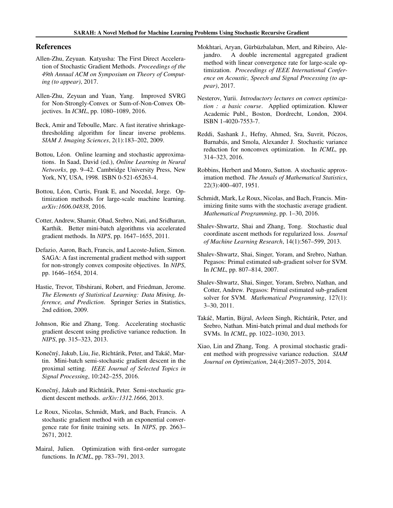### <span id="page-9-0"></span>References

- Allen-Zhu, Zeyuan. Katyusha: The First Direct Acceleration of Stochastic Gradient Methods. *Proceedings of the 49th Annual ACM on Symposium on Theory of Computing (to appear)*, 2017.
- Allen-Zhu, Zeyuan and Yuan, Yang. Improved SVRG for Non-Strongly-Convex or Sum-of-Non-Convex Objectives. In *ICML*, pp. 1080–1089, 2016.
- Beck, Amir and Teboulle, Marc. A fast iterative shrinkagethresholding algorithm for linear inverse problems. *SIAM J. Imaging Sciences*, 2(1):183–202, 2009.
- Bottou, Léon. Online learning and stochastic approximations. In Saad, David (ed.), *Online Learning in Neural Networks*, pp. 9–42. Cambridge University Press, New York, NY, USA, 1998. ISBN 0-521-65263-4.
- Bottou, Léon, Curtis, Frank E, and Nocedal, Jorge. Optimization methods for large-scale machine learning. *arXiv:1606.04838*, 2016.
- Cotter, Andrew, Shamir, Ohad, Srebro, Nati, and Sridharan, Karthik. Better mini-batch algorithms via accelerated gradient methods. In *NIPS*, pp. 1647–1655, 2011.
- Defazio, Aaron, Bach, Francis, and Lacoste-Julien, Simon. SAGA: A fast incremental gradient method with support for non-strongly convex composite objectives. In *NIPS*, pp. 1646–1654, 2014.
- Hastie, Trevor, Tibshirani, Robert, and Friedman, Jerome. *The Elements of Statistical Learning: Data Mining, Inference, and Prediction*. Springer Series in Statistics, 2nd edition, 2009.
- Johnson, Rie and Zhang, Tong. Accelerating stochastic gradient descent using predictive variance reduction. In *NIPS*, pp. 315–323, 2013.
- Konečný, Jakub, Liu, Jie, Richtárik, Peter, and Takáč, Martin. Mini-batch semi-stochastic gradient descent in the proximal setting. *IEEE Journal of Selected Topics in Signal Processing*, 10:242–255, 2016.
- Konečný, Jakub and Richtárik, Peter. Semi-stochastic gradient descent methods. *arXiv:1312.1666*, 2013.
- Le Roux, Nicolas, Schmidt, Mark, and Bach, Francis. A stochastic gradient method with an exponential convergence rate for finite training sets. In *NIPS*, pp. 2663– 2671, 2012.
- Mairal, Julien. Optimization with first-order surrogate functions. In *ICML*, pp. 783–791, 2013.
- Mokhtari, Aryan, Gürbüzbalaban, Mert, and Ribeiro, Alejandro. A double incremental aggregated gradient method with linear convergence rate for large-scale optimization. *Proceedings of IEEE International Conference on Acoustic, Speech and Signal Processing (to appear)*, 2017.
- Nesterov, Yurii. *Introductory lectures on convex optimization : a basic course*. Applied optimization. Kluwer Academic Publ., Boston, Dordrecht, London, 2004. ISBN 1-4020-7553-7.
- Reddi, Sashank J., Hefny, Ahmed, Sra, Suvrit, Póczos, Barnabás, and Smola, Alexander J. Stochastic variance reduction for nonconvex optimization. In *ICML*, pp. 314–323, 2016.
- Robbins, Herbert and Monro, Sutton. A stochastic approximation method. *The Annals of Mathematical Statistics*, 22(3):400–407, 1951.
- Schmidt, Mark, Le Roux, Nicolas, and Bach, Francis. Minimizing finite sums with the stochastic average gradient. *Mathematical Programming*, pp. 1–30, 2016.
- Shalev-Shwartz, Shai and Zhang, Tong. Stochastic dual coordinate ascent methods for regularized loss. *Journal of Machine Learning Research*, 14(1):567–599, 2013.
- Shalev-Shwartz, Shai, Singer, Yoram, and Srebro, Nathan. Pegasos: Primal estimated sub-gradient solver for SVM. In *ICML*, pp. 807–814, 2007.
- Shalev-Shwartz, Shai, Singer, Yoram, Srebro, Nathan, and Cotter, Andrew. Pegasos: Primal estimated sub-gradient solver for SVM. *Mathematical Programming*, 127(1): 3–30, 2011.
- Takáč, Martin, Bijral, Avleen Singh, Richtárik, Peter, and Srebro, Nathan. Mini-batch primal and dual methods for SVMs. In *ICML*, pp. 1022–1030, 2013.
- Xiao, Lin and Zhang, Tong. A proximal stochastic gradient method with progressive variance reduction. *SIAM Journal on Optimization*, 24(4):2057–2075, 2014.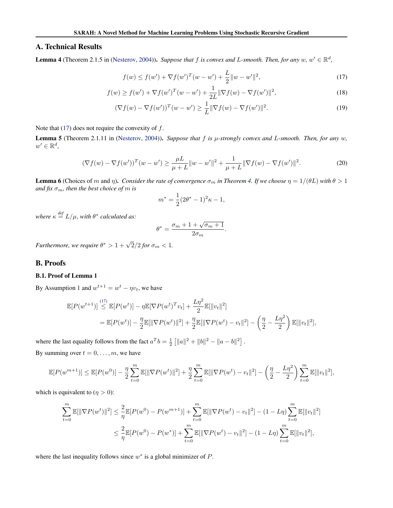## <span id="page-10-0"></span>A. Technical Results

**Lemma 4** (Theorem 2.1.5 in [\(Nesterov,](#page-9-0) [2004\)](#page-9-0)). *Suppose that* f *is convex and L-smooth. Then, for any*  $w, w' \in \mathbb{R}^d$ ,

$$
f(w) \le f(w') + \nabla f(w')^{T} (w - w') + \frac{L}{2} ||w - w'||^{2},
$$
\n(17)

$$
f(w) \ge f(w') + \nabla f(w')^{T} (w - w') + \frac{1}{2L} \|\nabla f(w) - \nabla f(w')\|^{2},
$$
\n(18)

$$
(\nabla f(w) - \nabla f(w'))^T (w - w') \ge \frac{1}{L} \|\nabla f(w) - \nabla f(w')\|^2.
$$
\n(19)

Note that  $(17)$  does not require the convexity of f.

**Lemma 5** (Theorem 2.1.11 in [\(Nesterov,](#page-9-0) [2004\)](#page-9-0)). *Suppose that*  $f$  *is*  $\mu$ -strongly convex and  $L$ -smooth. Then, for any  $w$ ,  $w' \in \mathbb{R}^d$ ,

$$
(\nabla f(w) - \nabla f(w'))^T (w - w') \ge \frac{\mu L}{\mu + L} \|w - w'\|^2 + \frac{1}{\mu + L} \|\nabla f(w) - \nabla f(w')\|^2.
$$
 (20)

**Lemma 6** (Choices of m and  $\eta$ ). *Consider the rate of convergence*  $\sigma_m$  *in Theorem [4.](#page-6-0) If we choose*  $\eta = 1/(\theta L)$  *with*  $\theta > 1$ *and fix*  $\sigma_m$ *, then the best choice of m is* 

$$
m^* = \frac{1}{2}(2\theta^* - 1)^2 \kappa - 1,
$$

where  $\kappa \stackrel{def}{=} L/\mu$ , with  $\theta^*$  calculated as:

$$
\theta^* = \frac{\sigma_m + 1 + \sqrt{\sigma_m + 1}}{2\sigma_m}.
$$

*Furthermore, we require*  $\theta^* > 1 + \sqrt{2}/2$  for  $\sigma_m < 1$ .

## B. Proofs

#### B.1. Proof of Lemma [1](#page-5-0)

By Assumption [1](#page-3-0) and  $w^{t+1} = w^t - \eta v_t$ , we have

$$
\mathbb{E}[P(w^{t+1})] \stackrel{(17)}{\leq} \mathbb{E}[P(w^t)] - \eta \mathbb{E}[\nabla P(w^t)^T v_t] + \frac{L\eta^2}{2} \mathbb{E}[\|v_t\|^2]
$$
  
= 
$$
\mathbb{E}[P(w^t)] - \frac{\eta}{2} \mathbb{E}[\|\nabla P(w^t)\|^2] + \frac{\eta}{2} \mathbb{E}[\|\nabla P(w^t) - v_t\|^2] - \left(\frac{\eta}{2} - \frac{L\eta^2}{2}\right) \mathbb{E}[\|v_t\|^2],
$$

where the last equality follows from the fact  $a^T b = \frac{1}{2} \left[ ||a||^2 + ||b||^2 - ||a - b||^2 \right]$ . By summing over  $t = 0, \ldots, m$ , we have

$$
\mathbb{E}[P(w^{m+1})] \leq \mathbb{E}[P(w^0)] - \frac{\eta}{2} \sum_{t=0}^m \mathbb{E}[\|\nabla P(w^t)\|^2] + \frac{\eta}{2} \sum_{t=0}^m \mathbb{E}[\|\nabla P(w^t) - v_t\|^2] - \left(\frac{\eta}{2} - \frac{L\eta^2}{2}\right) \sum_{t=0}^m \mathbb{E}[\|v_t\|^2],
$$

which is equivalent to  $(\eta > 0)$ :

$$
\sum_{t=0}^{m} \mathbb{E}[\|\nabla P(w^t)\|^2] \leq \frac{2}{\eta} \mathbb{E}[P(w^0) - P(w^{m+1})] + \sum_{t=0}^{m} \mathbb{E}[\|\nabla P(w^t) - v_t\|^2] - (1 - L\eta) \sum_{t=0}^{m} \mathbb{E}[\|v_t\|^2]
$$
  

$$
\leq \frac{2}{\eta} \mathbb{E}[P(w^0) - P(w^*)] + \sum_{t=0}^{m} \mathbb{E}[\|\nabla P(w^t) - v_t\|^2] - (1 - L\eta) \sum_{t=0}^{m} \mathbb{E}[\|v_t\|^2],
$$

where the last inequality follows since  $w^*$  is a global minimizer of  $P$ .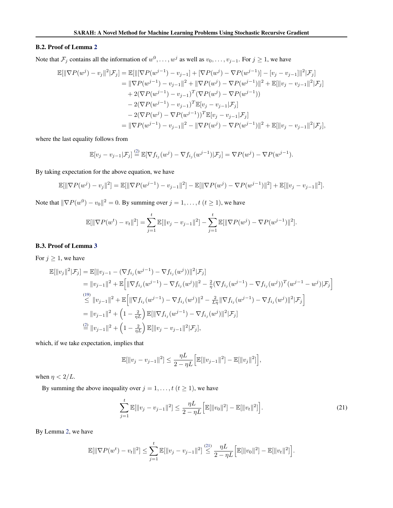#### B.2. Proof of Lemma [2](#page-5-0)

Note that  $\mathcal{F}_j$  contains all the information of  $w^0, \dots, w^j$  as well as  $v_0, \dots, v_{j-1}$ . For  $j \ge 1$ , we have

$$
\mathbb{E}[\|\nabla P(w^{j}) - v_{j}\|^{2}|\mathcal{F}_{j}] = \mathbb{E}[\|[\nabla P(w^{j-1}) - v_{j-1}] + [\nabla P(w^{j}) - \nabla P(w^{j-1})] - [v_{j} - v_{j-1}]\|^{2}|\mathcal{F}_{j}]
$$
  
\n
$$
= \|\nabla P(w^{j-1}) - v_{j-1}\|^{2} + \|\nabla P(w^{j}) - \nabla P(w^{j-1})\|^{2} + \mathbb{E}[\|v_{j} - v_{j-1}\|^{2}|\mathcal{F}_{j}]
$$
  
\n
$$
+ 2(\nabla P(w^{j-1}) - v_{j-1})^{T}(\nabla P(w^{j}) - \nabla P(w^{j-1}))
$$
  
\n
$$
- 2(\nabla P(w^{j-1}) - v_{j-1})^{T}\mathbb{E}[v_{j} - v_{j-1}|\mathcal{F}_{j}]
$$
  
\n
$$
- 2(\nabla P(w^{j}) - \nabla P(w^{j-1}))^{T}\mathbb{E}[v_{j} - v_{j-1}|\mathcal{F}_{j}]
$$
  
\n
$$
= \|\nabla P(w^{j-1}) - v_{j-1}\|^{2} - \|\nabla P(w^{j}) - \nabla P(w^{j-1})\|^{2} + \mathbb{E}[\|v_{j} - v_{j-1}\|^{2}|\mathcal{F}_{j}],
$$

where the last equality follows from

$$
\mathbb{E}[v_j - v_{j-1}|\mathcal{F}_j] \stackrel{(2)}{=} \mathbb{E}[\nabla f_{i_j}(w^j) - \nabla f_{i_j}(w^{j-1})|\mathcal{F}_j] = \nabla P(w^j) - \nabla P(w^{j-1}).
$$

By taking expectation for the above equation, we have

$$
\mathbb{E}[\|\nabla P(w^j) - v_j\|^2] = \mathbb{E}[\|\nabla P(w^{j-1}) - v_{j-1}\|^2] - \mathbb{E}[\|\nabla P(w^j) - \nabla P(w^{j-1})\|^2] + \mathbb{E}[\|v_j - v_{j-1}\|^2].
$$

Note that  $\|\nabla P(w^0) - v_0\|^2 = 0$ . By summing over  $j = 1, \ldots, t$   $(t \ge 1)$ , we have

$$
\mathbb{E}[\|\nabla P(w^t) - v_t\|^2] = \sum_{j=1}^t \mathbb{E}[\|v_j - v_{j-1}\|^2] - \sum_{j=1}^t \mathbb{E}[\|\nabla P(w^j) - \nabla P(w^{j-1})\|^2].
$$

#### B.3. Proof of Lemma [3](#page-5-0)

For  $j \geq 1$ , we have

$$
\mathbb{E}[\|v_j\|^2 | \mathcal{F}_j] = \mathbb{E}[\|v_{j-1} - (\nabla f_{i_j}(w^{j-1}) - \nabla f_{i_j}(w^j))\|^2 | \mathcal{F}_j]
$$
\n
$$
= \|v_{j-1}\|^2 + \mathbb{E}\Big[\|\nabla f_{i_j}(w^{j-1}) - \nabla f_{i_j}(w^j)\|^2 - \frac{2}{\eta}(\nabla f_{i_j}(w^{j-1}) - \nabla f_{i_j}(w^j))^T (w^{j-1} - w^j) | \mathcal{F}_j\Big]
$$
\n
$$
\stackrel{(19)}{\leq} \|v_{j-1}\|^2 + \mathbb{E}\Big[\|\nabla f_{i_j}(w^{j-1}) - \nabla f_{i_j}(w^j)\|^2 - \frac{2}{L\eta}\|\nabla f_{i_j}(w^{j-1}) - \nabla f_{i_j}(w^j)\|^2 | \mathcal{F}_j\Big]
$$
\n
$$
= \|v_{j-1}\|^2 + \left(1 - \frac{2}{\eta L}\right) \mathbb{E}[\|\nabla f_{i_j}(w^{j-1}) - \nabla f_{i_j}(w^j)\|^2 | \mathcal{F}_j]
$$
\n
$$
\stackrel{(2)}{=} \|v_{j-1}\|^2 + \left(1 - \frac{2}{\eta L}\right) \mathbb{E}[\|v_j - v_{j-1}\|^2 | \mathcal{F}_j],
$$

which, if we take expectation, implies that

$$
\mathbb{E}[\|v_j - v_{j-1}\|^2] \le \frac{\eta L}{2 - \eta L} \Big[ \mathbb{E}[\|v_{j-1}\|^2] - \mathbb{E}[\|v_j\|^2] \Big],
$$

when  $\eta < 2/L$ .

By summing the above inequality over  $j = 1, \ldots, t$   $(t \ge 1)$ , we have

$$
\sum_{j=1}^{t} \mathbb{E}[\|v_j - v_{j-1}\|^2] \le \frac{\eta L}{2 - \eta L} \Big[ \mathbb{E}[\|v_0\|^2] - \mathbb{E}[\|v_t\|^2] \Big]. \tag{21}
$$

By Lemma [2,](#page-5-0) we have

$$
\mathbb{E}[\|\nabla P(w^t) - v_t\|^2] \leq \sum_{j=1}^t \mathbb{E}[\|v_j - v_{j-1}\|^2] \stackrel{(21)}{\leq} \frac{\eta L}{2 - \eta L} \Big[\mathbb{E}[\|v_0\|^2] - \mathbb{E}[\|v_t\|^2]\Big].
$$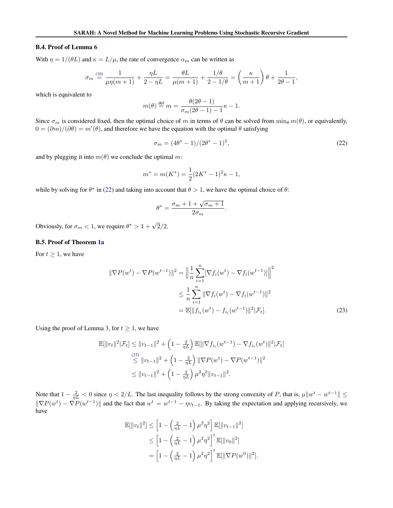#### B.4. Proof of Lemma [6](#page-10-0)

With  $\eta = 1/(\theta L)$  and  $\kappa = L/\mu$ , the rate of convergence  $\alpha_m$  can be written as

$$
\sigma_m \stackrel{(16)}{=} \frac{1}{\mu \eta(m+1)} + \frac{\eta L}{2 - \eta L} = \frac{\theta L}{\mu(m+1)} + \frac{1/\theta}{2 - 1/\theta} = \left(\frac{\kappa}{m+1}\right)\theta + \frac{1}{2\theta - 1},
$$

which is equivalent to

$$
m(\theta) \stackrel{\text{def}}{=} m = \frac{\theta(2\theta - 1)}{\sigma_m(2\theta - 1) - 1} \kappa - 1.
$$

Since  $\sigma_m$  is considered fixed, then the optimal choice of m in terms of  $\theta$  can be solved from  $\min_{\theta} m(\theta)$ , or equivalently,  $0 = (\partial m)/(\partial \theta) = m'(\theta)$ , and therefore we have the equation with the optimal  $\theta$  satisfying

$$
\sigma_m = (4\theta^* - 1)/(2\theta^* - 1)^2,\tag{22}
$$

and by plugging it into  $m(\theta)$  we conclude the optimal m:

$$
m^* = m(K^*) = \frac{1}{2}(2K^* - 1)^2 \kappa - 1,
$$

while by solving for  $\theta^*$  in (22) and taking into account that  $\theta > 1$ , we have the optimal choice of  $\theta$ :

$$
\theta^* = \frac{\sigma_m + 1 + \sqrt{\sigma_m + 1}}{2\sigma_m}.
$$

Obviously, for  $\sigma_m < 1$ , we require  $\theta^* > 1 + \sqrt{2}/2$ .

#### B.5. Proof of Theorem [1a](#page-4-0)

For  $t \geq 1$ , we have

$$
\|\nabla P(w^t) - \nabla P(w^{t-1})\|^2 = \left\|\frac{1}{n}\sum_{i=1}^n [\nabla f_i(w^t) - \nabla f_i(w^{t-1})]\right\|^2
$$
  

$$
\leq \frac{1}{n}\sum_{i=1}^n \|\nabla f_i(w^t) - \nabla f_i(w^{t-1})\|^2
$$
  

$$
= \mathbb{E}[\|f_{i_t}(w^t) - f_{i_t}(w^{t-1})\|^2 | \mathcal{F}_t].
$$
 (23)

Using the proof of Lemma [3,](#page-5-0) for  $t \geq 1$ , we have

$$
\mathbb{E}[\|v_t\|^2 | \mathcal{F}_t] \le \|v_{t-1}\|^2 + \left(1 - \frac{2}{\eta L}\right) \mathbb{E}[\|\nabla f_{i_t}(w^{t-1}) - \nabla f_{i_t}(w^t)\|^2 | \mathcal{F}_t]
$$
  
\n
$$
\le \|v_{t-1}\|^2 + \left(1 - \frac{2}{\eta L}\right) \|\nabla P(w^t) - \nabla P(w^{t-1})\|^2
$$
  
\n
$$
\le \|v_{t-1}\|^2 + \left(1 - \frac{2}{\eta L}\right) \mu^2 \eta^2 \|v_{t-1}\|^2.
$$

Note that  $1 - \frac{2}{nL} < 0$  since  $n < 2/L$ . The last inequality follows by the strong convexity of P, that is,  $\mu \|w^t - w^{t-1}\| \le$  $\|\nabla P(w^t) - \nabla P(w^{t-1})\|$  and the fact that  $w^t = w^{t-1} - \eta v_{t-1}$ . By taking the expectation and applying recursively, we have

$$
\mathbb{E}[\|v_t\|^2] \le \left[1 - \left(\frac{2}{\eta L} - 1\right)\mu^2 \eta^2\right] \mathbb{E}[\|v_{t-1}\|^2]
$$
  
\n
$$
\le \left[1 - \left(\frac{2}{\eta L} - 1\right)\mu^2 \eta^2\right]^t \mathbb{E}[\|v_0\|^2]
$$
  
\n
$$
= \left[1 - \left(\frac{2}{\eta L} - 1\right)\mu^2 \eta^2\right]^t \mathbb{E}[\|\nabla P(w^0)\|^2].
$$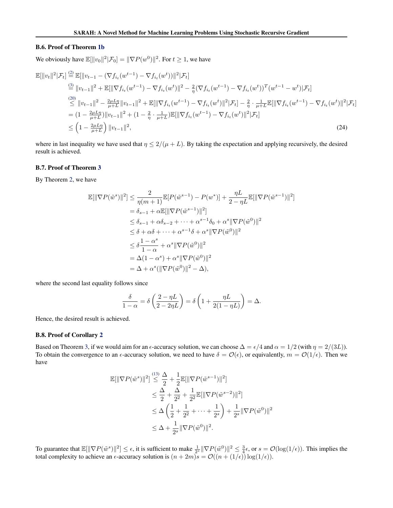#### B.6. Proof of Theorem [1b](#page-4-0)

We obviously have  $\mathbb{E}[\Vert v_0 \Vert^2 | \mathcal{F}_0] = \Vert \nabla P(w^0) \Vert^2$ . For  $t \ge 1$ , we have

$$
\mathbb{E}[\|v_t\|^2 | \mathcal{F}_t] \stackrel{(2)}{=} \mathbb{E}[\|v_{t-1} - (\nabla f_{i_t}(w^{t-1}) - \nabla f_{i_t}(w^t))\|^2 | \mathcal{F}_t]
$$
\n
$$
\stackrel{(3)}{=} \|v_{t-1}\|^2 + \mathbb{E}[\|\nabla f_{i_t}(w^{t-1}) - \nabla f_{i_t}(w^t)\|^2 - \frac{2}{\eta}(\nabla f_{i_t}(w^{t-1}) - \nabla f_{i_t}(w^t))^T (w^{t-1} - w^t) | \mathcal{F}_t]
$$
\n
$$
\stackrel{(20)}{\leq} \|v_{t-1}\|^2 - \frac{2\mu L \eta}{\mu + L} \|v_{t-1}\|^2 + \mathbb{E}[\|\nabla f_{i_t}(w^{t-1}) - \nabla f_{i_t}(w^t)\|^2 | \mathcal{F}_t] - \frac{2}{\eta} \cdot \frac{1}{\mu + L} \mathbb{E}[\|\nabla f_{i_t}(w^{t-1}) - \nabla f_{i_t}(w^t)\|^2 | \mathcal{F}_t]
$$
\n
$$
= (1 - \frac{2\mu L \eta}{\mu + L}) \|v_{t-1}\|^2 + (1 - \frac{2}{\eta} \cdot \frac{1}{\mu + L}) \mathbb{E}[\|\nabla f_{i_t}(w^{t-1}) - \nabla f_{i_t}(w^t)\|^2 | \mathcal{F}_t]
$$
\n
$$
\leq \left(1 - \frac{2\mu L \eta}{\mu + L}\right) \|v_{t-1}\|^2, \tag{24}
$$

where in last inequality we have used that  $\eta \leq 2/(\mu + L)$ . By taking the expectation and applying recursively, the desired result is achieved.

#### B.7. Proof of Theorem [3](#page-6-0)

By Theorem [2,](#page-4-0) we have

$$
\mathbb{E}[\|\nabla P(\tilde{w}^s)\|^2] \leq \frac{2}{\eta(m+1)} \mathbb{E}[P(\tilde{w}^{s-1}) - P(w^*)] + \frac{\eta L}{2 - \eta L} \mathbb{E}[\|\nabla P(\tilde{w}^{s-1})\|^2]
$$
  
\n
$$
= \delta_{s-1} + \alpha \mathbb{E}[\|\nabla P(\tilde{w}^{s-1})\|^2]
$$
  
\n
$$
\leq \delta_{s-1} + \alpha \delta_{s-2} + \dots + \alpha^{s-1} \delta_0 + \alpha^s \|\nabla P(\tilde{w}^0)\|^2
$$
  
\n
$$
\leq \delta + \alpha \delta + \dots + \alpha^{s-1} \delta + \alpha^s \|\nabla P(\tilde{w}^0)\|^2
$$
  
\n
$$
\leq \delta \frac{1 - \alpha^s}{1 - \alpha} + \alpha^s \|\nabla P(\tilde{w}^0)\|^2
$$
  
\n
$$
= \Delta(1 - \alpha^s) + \alpha^s \|\nabla P(\tilde{w}^0)\|^2
$$
  
\n
$$
= \Delta + \alpha^s (\|\nabla P(\tilde{w}^0)\|^2 - \Delta),
$$

where the second last equality follows since

$$
\frac{\delta}{1-\alpha} = \delta\left(\frac{2-\eta L}{2-2\eta L}\right) = \delta\left(1 + \frac{\eta L}{2(1-\eta L)}\right) = \Delta.
$$

Hence, the desired result is achieved.

#### B.8. Proof of Corollary [2](#page-6-0)

Based on Theorem [3,](#page-6-0) if we would aim for an  $\epsilon$ -accuracy solution, we can choose  $\Delta = \epsilon/4$  and  $\alpha = 1/2$  (with  $\eta = 2/(3L)$ ). To obtain the convergence to an  $\epsilon$ -accuracy solution, we need to have  $\delta = \mathcal{O}(\epsilon)$ , or equivalently,  $m = \mathcal{O}(1/\epsilon)$ . Then we have

$$
\mathbb{E}[\|\nabla P(\tilde{w}^s)\|^2] \stackrel{(13)}{\leq} \frac{\Delta}{2} + \frac{1}{2} \mathbb{E}[\|\nabla P(\tilde{w}^{s-1})\|^2]
$$
  
\n
$$
\leq \frac{\Delta}{2} + \frac{\Delta}{2^2} + \frac{1}{2^2} \mathbb{E}[\|\nabla P(\tilde{w}^{s-2})\|^2]
$$
  
\n
$$
\leq \Delta \left(\frac{1}{2} + \frac{1}{2^2} + \dots + \frac{1}{2^s}\right) + \frac{1}{2^s} \|\nabla P(\tilde{w}^0)\|^2
$$
  
\n
$$
\leq \Delta + \frac{1}{2^s} \|\nabla P(\tilde{w}^0)\|^2.
$$

To guarantee that  $\mathbb{E}[\|\nabla P(\tilde{w}^s)\|^2] \leq \epsilon$ , it is sufficient to make  $\frac{1}{2^s} \|\nabla P(\tilde{w}^0)\|^2 \leq \frac{3}{4}\epsilon$ , or  $s = \mathcal{O}(\log(1/\epsilon))$ . This implies the total complexity to achieve an  $\epsilon$ -accuracy solution is  $(n + 2m)s = \mathcal{O}((n + (1/\epsilon)) \log(1/\epsilon)).$